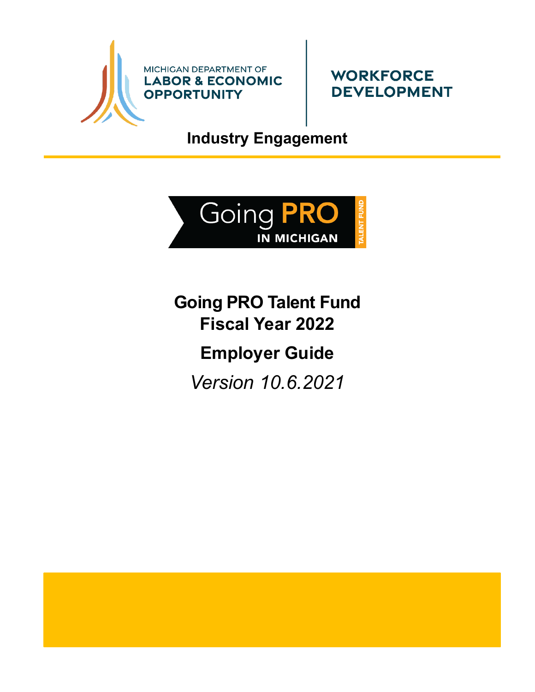



**Industry Engagement**



<span id="page-0-1"></span><span id="page-0-0"></span>**Going PRO Talent Fund Fiscal Year 2022 Employer Guide**

*Version 10.6.2021*

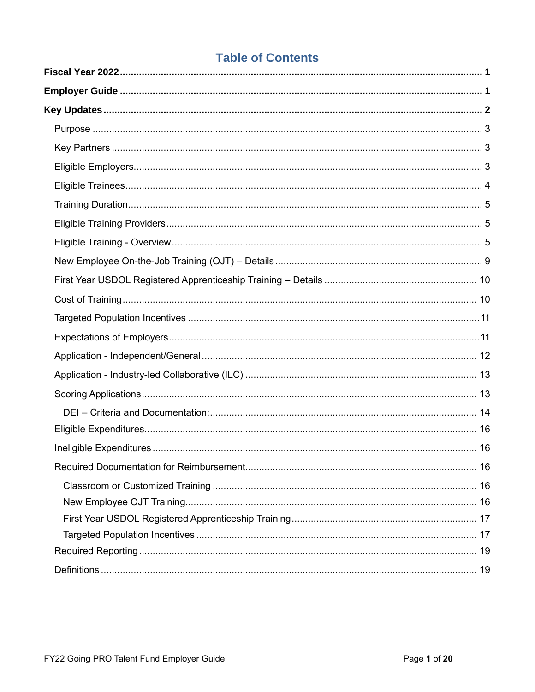# **Table of Contents**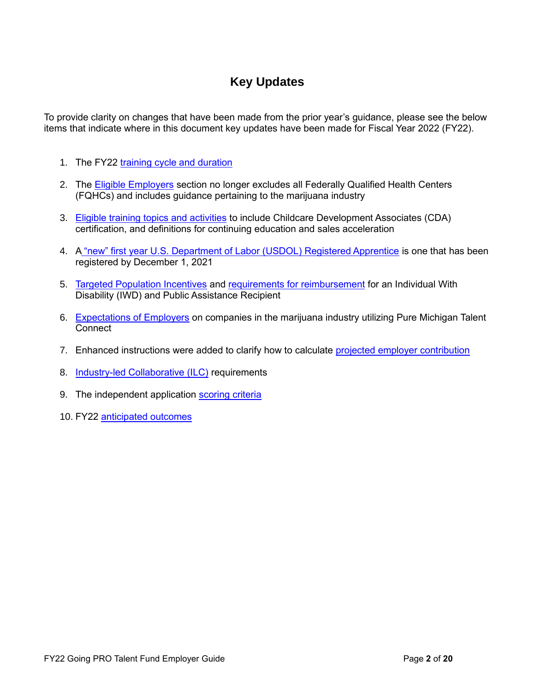# **Key Updates**

<span id="page-2-0"></span>To provide clarity on changes that have been made from the prior year's guidance, please see the below items that indicate where in this document key updates have been made for Fiscal Year 2022 (FY22).

- 1. The FY22 [training cycle and duration](#page-12-0)
- 2. The [Eligible Employers](#page-3-2) section no longer excludes all Federally Qualified Health Centers (FQHCs) and includes guidance pertaining to the marijuana industry
- 3. [Eligible training topics and activities](#page-5-2) to include Childcare Development Associates (CDA) certification, and definitions for continuing education and sales acceleration
- 4. A ["new" first year U.S. Department of Labor \(USDOL\) Registered Apprentice](#page-10-0) is one that has been registered by December 1, 2021
- 5. [Targeted Population Incentives](#page-11-0) and [requirements for reimbursement](#page-17-1) for an Individual With Disability (IWD) and Public Assistance Recipient
- 6. [Expectations of Employers](#page-11-1) on companies in the marijuana industry utilizing Pure Michigan Talent **Connect**
- 7. Enhanced instructions were added to clarify how to calculate [projected employer contribution](#page-11-1)
- 8. [Industry-led Collaborative \(ILC\)](#page-13-0) requirements
- 9. The independent application [scoring criteria](#page-13-1)
- 10. FY22 [anticipated outcomes](#page-19-2)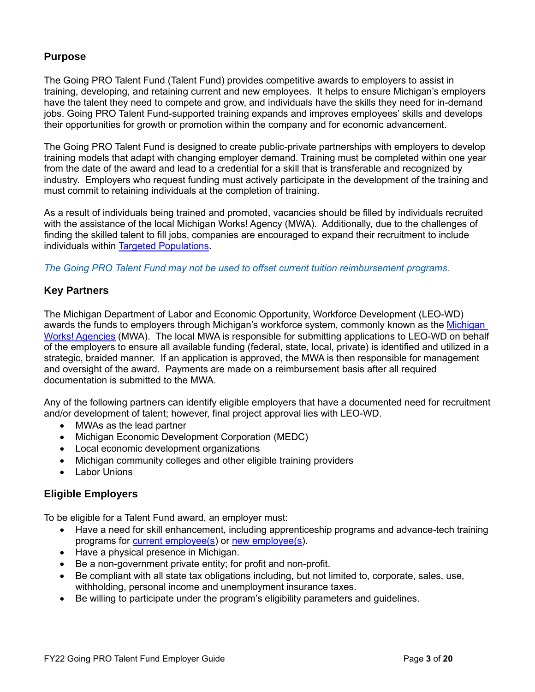### <span id="page-3-0"></span>**Purpose**

The Going PRO Talent Fund (Talent Fund) provides competitive awards to employers to assist in training, developing, and retaining current and new employees. It helps to ensure Michigan's employers have the talent they need to compete and grow, and individuals have the skills they need for in-demand jobs. Going PRO Talent Fund-supported training expands and improves employees' skills and develops their opportunities for growth or promotion within the company and for economic advancement.

The Going PRO Talent Fund is designed to create public-private partnerships with employers to develop training models that adapt with changing employer demand. Training must be completed within one year from the date of the award and lead to a credential for a skill that is transferable and recognized by industry. Employers who request funding must actively participate in the development of the training and must commit to retaining individuals at the completion of training.

As a result of individuals being trained and promoted, vacancies should be filled by individuals recruited with the assistance of the local Michigan Works! Agency (MWA). Additionally, due to the challenges of finding the skilled talent to fill jobs, companies are encouraged to expand their recruitment to include individuals within [Targeted Populations.](#page-20-0)

*The Going PRO Talent Fund may not be used to offset current tuition reimbursement programs.*

### <span id="page-3-1"></span>**Key Partners**

The Michigan Department of Labor and Economic Opportunity, Workforce Development (LEO-WD) awards the funds to employers through Michigan's workforce system, commonly known as the [Michigan](http://www.michiganworks.org/)  [Works! Agencies](http://www.michiganworks.org/) (MWA). The local MWA is responsible for submitting applications to LEO-WD on behalf of the employers to ensure all available funding (federal, state, local, private) is identified and utilized in a strategic, braided manner. If an application is approved, the MWA is then responsible for management and oversight of the award. Payments are made on a reimbursement basis after all required documentation is submitted to the MWA.

Any of the following partners can identify eligible employers that have a documented need for recruitment and/or development of talent; however, final project approval lies with LEO-WD.

- MWAs as the lead partner
- Michigan Economic Development Corporation (MEDC)
- Local economic development organizations
- Michigan community colleges and other eligible training providers
- Labor Unions

### <span id="page-3-2"></span>**Eligible Employers**

To be eligible for a Talent Fund award, an employer must:

- Have a need for skill enhancement, including apprenticeship programs and advance-tech training programs for [current employee\(s\)](#page-19-3) or [new employee\(s\)](#page-20-1).
- Have a physical presence in Michigan.
- Be a non-government private entity; for profit and non-profit.
- Be compliant with all state tax obligations including, but not limited to, corporate, sales, use, withholding, personal income and unemployment insurance taxes.
- Be willing to participate under the program's eligibility parameters and guidelines.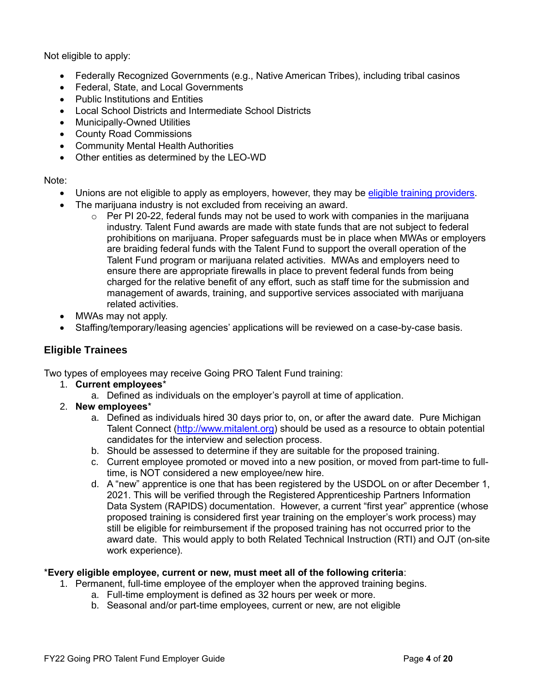Not eligible to apply:

- Federally Recognized Governments (e.g., Native American Tribes), including tribal casinos
- Federal, State, and Local Governments
- Public Institutions and Entities
- Local School Districts and Intermediate School Districts
- Municipally-Owned Utilities
- County Road Commissions
- Community Mental Health Authorities
- Other entities as determined by the LEO-WD

#### Note:

- Unions are not eligible to apply as employers, however, they may be [eligible training providers.](#page-5-1)
- The marijuana industry is not excluded from receiving an award.
	- $\circ$  Per PI 20-22, federal funds may not be used to work with companies in the marijuana industry. Talent Fund awards are made with state funds that are not subject to federal prohibitions on marijuana. Proper safeguards must be in place when MWAs or employers are braiding federal funds with the Talent Fund to support the overall operation of the Talent Fund program or marijuana related activities. MWAs and employers need to ensure there are appropriate firewalls in place to prevent federal funds from being charged for the relative benefit of any effort, such as staff time for the submission and management of awards, training, and supportive services associated with marijuana related activities.
- MWAs may not apply.
- Staffing/temporary/leasing agencies' applications will be reviewed on a case-by-case basis.

# <span id="page-4-0"></span>**Eligible Trainees**

Two types of employees may receive Going PRO Talent Fund training:

- 1. **Current employees**\*
	- a. Defined as individuals on the employer's payroll at time of application.
- 2. **New employees**\*
	- a. Defined as individuals hired 30 days prior to, on, or after the award date. Pure Michigan Talent Connect [\(http://www.mitalent.org\)](http://www.mitalent.org/) should be used as a resource to obtain potential candidates for the interview and selection process.
	- b. Should be assessed to determine if they are suitable for the proposed training.
	- c. Current employee promoted or moved into a new position, or moved from part-time to fulltime, is NOT considered a new employee/new hire.
	- d. A "new" apprentice is one that has been registered by the USDOL on or after December 1, 2021. This will be verified through the Registered Apprenticeship Partners Information Data System (RAPIDS) documentation. However, a current "first year" apprentice (whose proposed training is considered first year training on the employer's work process) may still be eligible for reimbursement if the proposed training has not occurred prior to the award date. This would apply to both Related Technical Instruction (RTI) and OJT (on-site work experience).

#### \***Every eligible employee, current or new, must meet all of the following criteria**:

- 1. Permanent, full-time employee of the employer when the approved training begins.
	- a. Full-time employment is defined as 32 hours per week or more.
	- b. Seasonal and/or part-time employees, current or new, are not eligible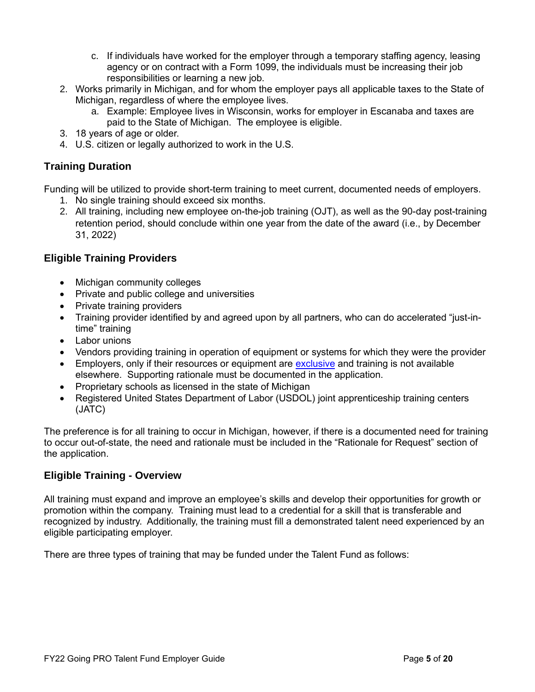- c. If individuals have worked for the employer through a temporary staffing agency, leasing agency or on contract with a Form 1099, the individuals must be increasing their job responsibilities or learning a new job.
- 2. Works primarily in Michigan, and for whom the employer pays all applicable taxes to the State of Michigan, regardless of where the employee lives.
	- a. Example: Employee lives in Wisconsin, works for employer in Escanaba and taxes are paid to the State of Michigan. The employee is eligible.
- 3. 18 years of age or older.
- 4. U.S. citizen or legally authorized to work in the U.S.

# <span id="page-5-0"></span>**Training Duration**

Funding will be utilized to provide short-term training to meet current, documented needs of employers.

- 1. No single training should exceed six months.
- 2. All training, including new employee on-the-job training (OJT), as well as the 90-day post-training retention period, should conclude within one year from the date of the award (i.e., by December 31, 2022)

### <span id="page-5-1"></span>**Eligible Training Providers**

- Michigan community colleges
- Private and public college and universities
- Private training providers
- Training provider identified by and agreed upon by all partners, who can do accelerated "just-intime" training
- Labor unions
- Vendors providing training in operation of equipment or systems for which they were the provider
- Employers, only if their resources or equipment are [exclusive](#page-19-4) and training is not available elsewhere. Supporting rationale must be documented in the application.
- Proprietary schools as licensed in the state of Michigan
- Registered United States Department of Labor (USDOL) joint apprenticeship training centers (JATC)

The preference is for all training to occur in Michigan, however, if there is a documented need for training to occur out-of-state, the need and rationale must be included in the "Rationale for Request" section of the application.

### <span id="page-5-2"></span>**Eligible Training - Overview**

All training must expand and improve an employee's skills and develop their opportunities for growth or promotion within the company. Training must lead to a credential for a skill that is transferable and recognized by industry. Additionally, the training must fill a demonstrated talent need experienced by an eligible participating employer.

There are three types of training that may be funded under the Talent Fund as follows: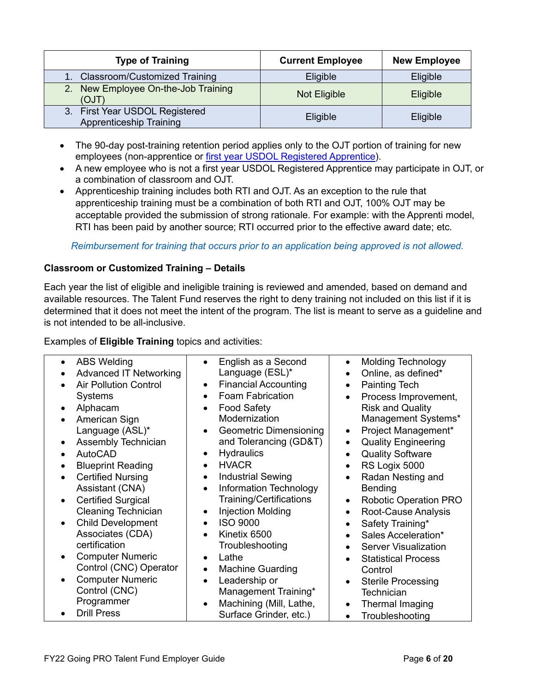| <b>Type of Training</b>                                          | <b>Current Employee</b> | <b>New Employee</b> |
|------------------------------------------------------------------|-------------------------|---------------------|
| 1. Classroom/Customized Training                                 | Eligible                | Eligible            |
| 2. New Employee On-the-Job Training<br>(OJT)                     | Not Eligible            | Eligible            |
| 3. First Year USDOL Registered<br><b>Apprenticeship Training</b> | Eligible                | Eligible            |

- The 90-day post-training retention period applies only to the OJT portion of training for new employees (non-apprentice or [first year USDOL Registered Apprentice\)](#page-20-2).
- A new employee who is not a first year USDOL Registered Apprentice may participate in OJT, or a combination of classroom and OJT.
- Apprenticeship training includes both RTI and OJT. As an exception to the rule that apprenticeship training must be a combination of both RTI and OJT, 100% OJT may be acceptable provided the submission of strong rationale. For example: with the Apprenti model, RTI has been paid by another source; RTI occurred prior to the effective award date; etc.

#### *Reimbursement for training that occurs prior to an application being approved is not allowed.*

#### **Classroom or Customized Training – Details**

Each year the list of eligible and ineligible training is reviewed and amended, based on demand and available resources. The Talent Fund reserves the right to deny training not included on this list if it is determined that it does not meet the intent of the program. The list is meant to serve as a guideline and is not intended to be all-inclusive.

Examples of **Eligible Training** topics and activities:

| $\bullet$ | <b>ABS Welding</b>            |                                       | English as a Second            |           | <b>Molding Technology</b>    |
|-----------|-------------------------------|---------------------------------------|--------------------------------|-----------|------------------------------|
|           | <b>Advanced IT Networking</b> | Language (ESL)*                       |                                |           | Online, as defined*          |
|           | <b>Air Pollution Control</b>  | $\bullet$                             | <b>Financial Accounting</b>    | $\bullet$ | Painting Tech                |
|           | <b>Systems</b>                | <b>Foam Fabrication</b>               |                                | $\bullet$ | Process Improvement,         |
|           | Alphacam                      | <b>Food Safety</b>                    |                                |           | <b>Risk and Quality</b>      |
| $\bullet$ |                               | Modernization                         |                                |           |                              |
|           | American Sign                 |                                       |                                |           | Management Systems*          |
|           | Language (ASL)*               |                                       | <b>Geometric Dimensioning</b>  |           | Project Management*          |
|           | Assembly Technician           |                                       | and Tolerancing (GD&T)         | $\bullet$ | <b>Quality Engineering</b>   |
|           | AutoCAD                       | <b>Hydraulics</b>                     |                                |           | <b>Quality Software</b>      |
|           | <b>Blueprint Reading</b>      | <b>HVACR</b>                          |                                |           | RS Logix 5000                |
| $\bullet$ | <b>Certified Nursing</b>      | <b>Industrial Sewing</b><br>$\bullet$ |                                | $\bullet$ | Radan Nesting and            |
|           | Assistant (CNA)               | $\bullet$                             | <b>Information Technology</b>  |           | <b>Bending</b>               |
|           | <b>Certified Surgical</b>     |                                       | <b>Training/Certifications</b> |           | <b>Robotic Operation PRO</b> |
|           | <b>Cleaning Technician</b>    | <b>Injection Molding</b>              |                                | $\bullet$ | Root-Cause Analysis          |
| $\bullet$ | <b>Child Development</b>      | <b>ISO 9000</b><br>$\bullet$          |                                |           | Safety Training*             |
|           | Associates (CDA)              | Kinetix 6500<br>$\bullet$             |                                |           | Sales Acceleration*          |
|           | certification                 | Troubleshooting                       |                                |           |                              |
|           |                               |                                       |                                |           | <b>Server Visualization</b>  |
|           | <b>Computer Numeric</b>       | Lathe                                 |                                |           | <b>Statistical Process</b>   |
|           | Control (CNC) Operator        | <b>Machine Guarding</b><br>$\bullet$  |                                |           | Control                      |
|           | <b>Computer Numeric</b>       | Leadership or                         |                                |           | <b>Sterile Processing</b>    |
|           | Control (CNC)                 |                                       | Management Training*           |           | Technician                   |
|           | Programmer                    |                                       | Machining (Mill, Lathe,        |           | Thermal Imaging              |
|           | <b>Drill Press</b>            |                                       | Surface Grinder, etc.)         | $\bullet$ | Troubleshooting              |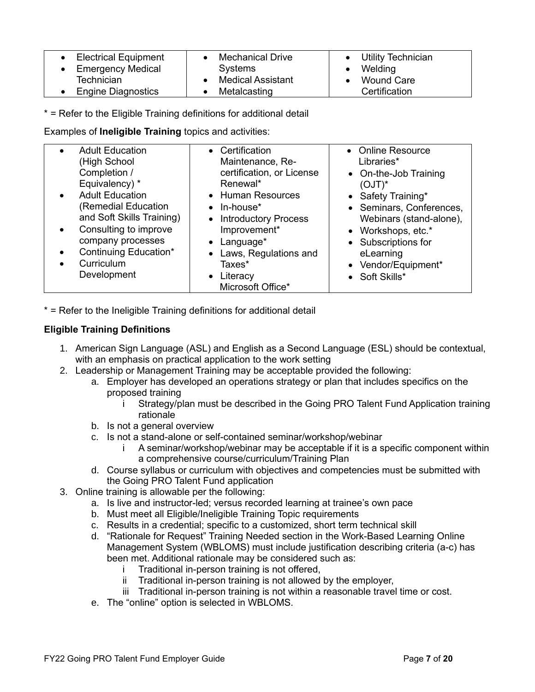| <b>Electrical Equipment</b><br><b>Emergency Medical</b> | <b>Mechanical Drive</b><br>Systems | Utility Technician<br>$\bullet$<br>Welding |
|---------------------------------------------------------|------------------------------------|--------------------------------------------|
| Technician                                              | <b>Medical Assistant</b>           | <b>Wound Care</b>                          |
| <b>Engine Diagnostics</b>                               | Metalcasting                       | Certification                              |

\* = Refer to the Eligible Training definitions for additional detail

Examples of **Ineligible Training** topics and activities:

|                        | <b>Adult Education</b><br>High School)<br>Completion /<br>Equivalency) *                                                                                                             | • Certification<br>Maintenance, Re-<br>certification, or License<br>Renewal*                                                                                           | • Online Resource<br>Libraries*<br>• On-the-Job Training<br>$(OJT)^*$                                                                                                        |
|------------------------|--------------------------------------------------------------------------------------------------------------------------------------------------------------------------------------|------------------------------------------------------------------------------------------------------------------------------------------------------------------------|------------------------------------------------------------------------------------------------------------------------------------------------------------------------------|
| $\bullet$<br>$\bullet$ | <b>Adult Education</b><br><b>Remedial Education</b><br>and Soft Skills Training)<br>Consulting to improve<br>company processes<br>Continuing Education*<br>Curriculum<br>Development | • Human Resources<br>$\bullet$ In-house <sup>*</sup><br>• Introductory Process<br>Improvement*<br>$\bullet$ Language*<br>Laws, Regulations and<br>Taxes*<br>• Literacy | • Safety Training*<br>• Seminars, Conferences,<br>Webinars (stand-alone),<br>• Workshops, etc.*<br>• Subscriptions for<br>eLearning<br>• Vendor/Equipment*<br>• Soft Skills* |
|                        |                                                                                                                                                                                      | Microsoft Office*                                                                                                                                                      |                                                                                                                                                                              |

\* = Refer to the Ineligible Training definitions for additional detail

### **Eligible Training Definitions**

- 1. American Sign Language (ASL) and English as a Second Language (ESL) should be contextual, with an emphasis on practical application to the work setting
- 2. Leadership or Management Training may be acceptable provided the following:
	- a. Employer has developed an operations strategy or plan that includes specifics on the proposed training
		- i Strategy/plan must be described in the Going PRO Talent Fund Application training rationale
	- b. Is not a general overview
	- c. Is not a stand-alone or self-contained seminar/workshop/webinar
		- i A seminar/workshop/webinar may be acceptable if it is a specific component within a comprehensive course/curriculum/Training Plan
	- d. Course syllabus or curriculum with objectives and competencies must be submitted with the Going PRO Talent Fund application
- 3. Online training is allowable per the following:
	- a. Is live and instructor-led; versus recorded learning at trainee's own pace
	- b. Must meet all Eligible/Ineligible Training Topic requirements
	- c. Results in a credential; specific to a customized, short term technical skill
	- d. "Rationale for Request" Training Needed section in the Work-Based Learning Online Management System (WBLOMS) must include justification describing criteria (a-c) has been met. Additional rationale may be considered such as:
		- i Traditional in-person training is not offered,
		- ii Traditional in-person training is not allowed by the employer,
		- iii Traditional in-person training is not within a reasonable travel time or cost.
	- e. The "online" option is selected in WBLOMS.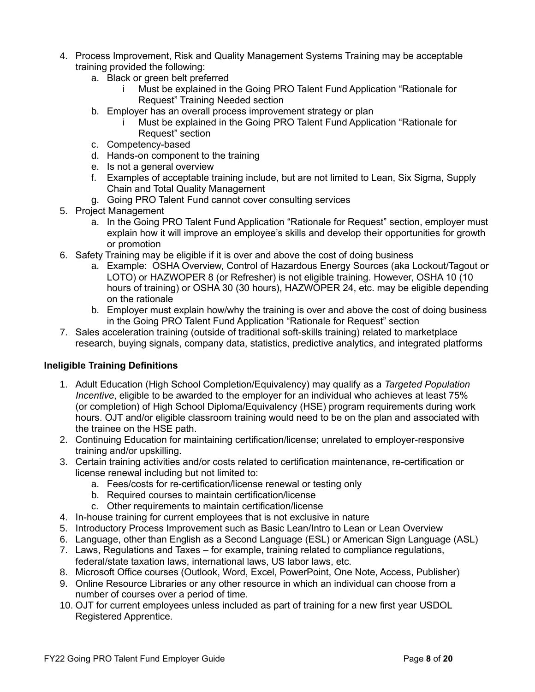- 4. Process Improvement, Risk and Quality Management Systems Training may be acceptable training provided the following:
	- a. Black or green belt preferred
		- i Must be explained in the Going PRO Talent Fund Application "Rationale for Request" Training Needed section
	- b. Employer has an overall process improvement strategy or plan
		- Must be explained in the Going PRO Talent Fund Application "Rationale for Request" section
	- c. Competency-based
	- d. Hands-on component to the training
	- e. Is not a general overview
	- f. Examples of acceptable training include, but are not limited to Lean, Six Sigma, Supply Chain and Total Quality Management
	- g. Going PRO Talent Fund cannot cover consulting services
- 5. Project Management
	- a. In the Going PRO Talent Fund Application "Rationale for Request" section, employer must explain how it will improve an employee's skills and develop their opportunities for growth or promotion
- 6. Safety Training may be eligible if it is over and above the cost of doing business
	- a. Example: OSHA Overview, Control of Hazardous Energy Sources (aka Lockout/Tagout or LOTO) or HAZWOPER 8 (or Refresher) is not eligible training. However, OSHA 10 (10 hours of training) or OSHA 30 (30 hours), HAZWOPER 24, etc. may be eligible depending on the rationale
	- b. Employer must explain how/why the training is over and above the cost of doing business in the Going PRO Talent Fund Application "Rationale for Request" section
- 7. Sales acceleration training (outside of traditional soft-skills training) related to marketplace research, buying signals, company data, statistics, predictive analytics, and integrated platforms

### **Ineligible Training Definitions**

- 1. Adult Education (High School Completion/Equivalency) may qualify as a *Targeted Population Incentive*, eligible to be awarded to the employer for an individual who achieves at least 75% (or completion) of High School Diploma/Equivalency (HSE) program requirements during work hours. OJT and/or eligible classroom training would need to be on the plan and associated with the trainee on the HSE path.
- 2. Continuing Education for maintaining certification/license; unrelated to employer-responsive training and/or upskilling.
- 3. Certain training activities and/or costs related to certification maintenance, re-certification or license renewal including but not limited to:
	- a. Fees/costs for re-certification/license renewal or testing only
	- b. Required courses to maintain certification/license
	- c. Other requirements to maintain certification/license
- 4. In-house training for current employees that is not [exclusive](#page-19-4) in nature
- 5. Introductory Process Improvement such as Basic Lean/Intro to Lean or Lean Overview
- 6. Language, other than English as a Second Language (ESL) or American Sign Language (ASL)
- 7. Laws, Regulations and Taxes for example, training related to compliance regulations, federal/state taxation laws, international laws, US labor laws, etc.
- 8. Microsoft Office courses (Outlook, Word, Excel, PowerPoint, One Note, Access, Publisher)
- 9. Online Resource Libraries or any other resource in which an individual can choose from a number of courses over a period of time.
- 10. OJT for current employees unless included as part of training for a new first year USDOL Registered Apprentice.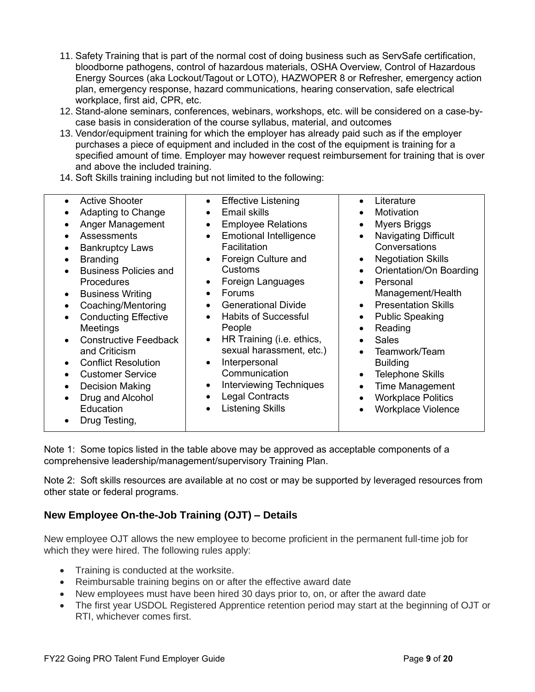- 11. Safety Training that is part of the normal cost of doing business such as ServSafe certification, bloodborne pathogens, control of hazardous materials, OSHA Overview, Control of Hazardous Energy Sources (aka Lockout/Tagout or LOTO), HAZWOPER 8 or Refresher, emergency action plan, emergency response, hazard communications, hearing conservation, safe electrical workplace, first aid, CPR, etc.
- 12. Stand-alone seminars, conferences, webinars, workshops, etc. will be considered on a case-bycase basis in consideration of the course syllabus, material, and outcomes
- 13. Vendor/equipment training for which the employer has already paid such as if the employer purchases a piece of equipment and included in the cost of the equipment is training for a specified amount of time. Employer may however request reimbursement for training that is over and above the included training.
- 14. [Soft Skills](#page-20-3) training including but not limited to the following:

| <b>Active Shooter</b><br>Adapting to Change<br>Anger Management<br><b>Assessments</b><br><b>Bankruptcy Laws</b><br><b>Branding</b><br><b>Business Policies and</b><br><b>Procedures</b><br><b>Business Writing</b><br>Coaching/Mentoring<br><b>Conducting Effective</b><br>Meetings<br><b>Constructive Feedback</b><br>and Criticism<br><b>Conflict Resolution</b><br><b>Customer Service</b><br><b>Decision Making</b><br>Drug and Alcohol<br>Education<br>Drug Testing, | <b>Effective Listening</b><br>$\bullet$<br><b>Email skills</b><br><b>Employee Relations</b><br><b>Emotional Intelligence</b><br>Facilitation<br>Foreign Culture and<br>Customs<br>Foreign Languages<br><b>Forums</b><br><b>Generational Divide</b><br>$\bullet$<br><b>Habits of Successful</b><br>People<br>HR Training (i.e. ethics,<br>sexual harassment, etc.)<br>Interpersonal<br>Communication<br>Interviewing Techniques<br><b>Legal Contracts</b><br><b>Listening Skills</b><br>٠ | Literature<br>$\bullet$<br>Motivation<br><b>Myers Briggs</b><br><b>Navigating Difficult</b><br>$\bullet$<br>Conversations<br><b>Negotiation Skills</b><br>$\bullet$<br>Orientation/On Boarding<br>Personal<br>$\bullet$<br>Management/Health<br><b>Presentation Skills</b><br>$\bullet$<br><b>Public Speaking</b><br>٠<br>Reading<br><b>Sales</b><br>$\bullet$<br>Teamwork/Team<br><b>Building</b><br><b>Telephone Skills</b><br>$\bullet$<br><b>Time Management</b><br>$\bullet$<br><b>Workplace Politics</b><br><b>Workplace Violence</b> |
|---------------------------------------------------------------------------------------------------------------------------------------------------------------------------------------------------------------------------------------------------------------------------------------------------------------------------------------------------------------------------------------------------------------------------------------------------------------------------|------------------------------------------------------------------------------------------------------------------------------------------------------------------------------------------------------------------------------------------------------------------------------------------------------------------------------------------------------------------------------------------------------------------------------------------------------------------------------------------|---------------------------------------------------------------------------------------------------------------------------------------------------------------------------------------------------------------------------------------------------------------------------------------------------------------------------------------------------------------------------------------------------------------------------------------------------------------------------------------------------------------------------------------------|
|---------------------------------------------------------------------------------------------------------------------------------------------------------------------------------------------------------------------------------------------------------------------------------------------------------------------------------------------------------------------------------------------------------------------------------------------------------------------------|------------------------------------------------------------------------------------------------------------------------------------------------------------------------------------------------------------------------------------------------------------------------------------------------------------------------------------------------------------------------------------------------------------------------------------------------------------------------------------------|---------------------------------------------------------------------------------------------------------------------------------------------------------------------------------------------------------------------------------------------------------------------------------------------------------------------------------------------------------------------------------------------------------------------------------------------------------------------------------------------------------------------------------------------|

Note 1: Some topics listed in the table above may be approved as acceptable components of a comprehensive leadership/management/supervisory Training Plan.

Note 2: Soft skills resources are available at no cost or may be supported by leveraged resources from other state or federal programs.

# <span id="page-9-0"></span>**New Employee On-the-Job Training (OJT) – Details**

New employee OJT allows the new employee to become proficient in the permanent full-time job for which they were hired. The following rules apply:

- Training is conducted at the worksite.
- Reimbursable training begins on or after the effective award date
- New employees must have been hired 30 days prior to, on, or after the award date
- The first year USDOL Registered Apprentice retention period may start at the beginning of OJT or RTI, whichever comes first.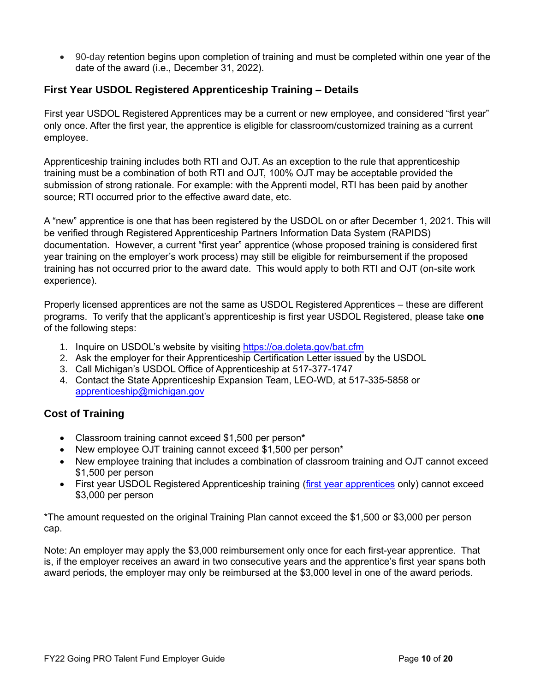• 90-day retention begins upon completion of training and must be completed within one year of the date of the award (i.e., December 31, 2022).

# <span id="page-10-0"></span>**First Year USDOL Registered Apprenticeship Training – Details**

First year USDOL Registered Apprentices may be a current or new employee, and considered "first year" only once. After the first year, the apprentice is eligible for classroom/customized training as a current employee.

Apprenticeship training includes both RTI and OJT. As an exception to the rule that apprenticeship training must be a combination of both RTI and OJT, 100% OJT may be acceptable provided the submission of strong rationale. For example: with the Apprenti model, RTI has been paid by another source; RTI occurred prior to the effective award date, etc.

A "new" apprentice is one that has been registered by the USDOL on or after December 1, 2021. This will be verified through Registered Apprenticeship Partners Information Data System (RAPIDS) documentation. However, a current "first year" apprentice (whose proposed training is considered first year training on the employer's work process) may still be eligible for reimbursement if the proposed training has not occurred prior to the award date. This would apply to both RTI and OJT (on-site work experience).

Properly licensed apprentices are not the same as USDOL Registered Apprentices – these are different programs. To verify that the applicant's apprenticeship is first year USDOL Registered, please take **one** of the following steps:

- 1. Inquire on USDOL's website by visiting<https://oa.doleta.gov/bat.cfm>
- 2. Ask the employer for their Apprenticeship Certification Letter issued by the USDOL
- 3. Call Michigan's USDOL Office of Apprenticeship at 517-377-1747
- 4. Contact the State Apprenticeship Expansion Team, LEO-WD, at 517-335-5858 or [apprenticeship@michigan.gov](mailto:apprenticeship@michigan.gov)

### <span id="page-10-1"></span>**Cost of Training**

- Classroom training cannot exceed \$1,500 per person**\***
- New employee OJT training cannot exceed \$1,500 per person\*
- New employee training that includes a combination of classroom training and OJT cannot exceed \$1,500 per person
- First year USDOL Registered Apprenticeship training (first year apprentices only) cannot exceed \$3,000 per person

\*The amount requested on the original Training Plan cannot exceed the \$1,500 or \$3,000 per person cap.

Note: An employer may apply the \$3,000 reimbursement only once for each first-year apprentice. That is, if the employer receives an award in two consecutive years and the apprentice's first year spans both award periods, the employer may only be reimbursed at the \$3,000 level in one of the award periods.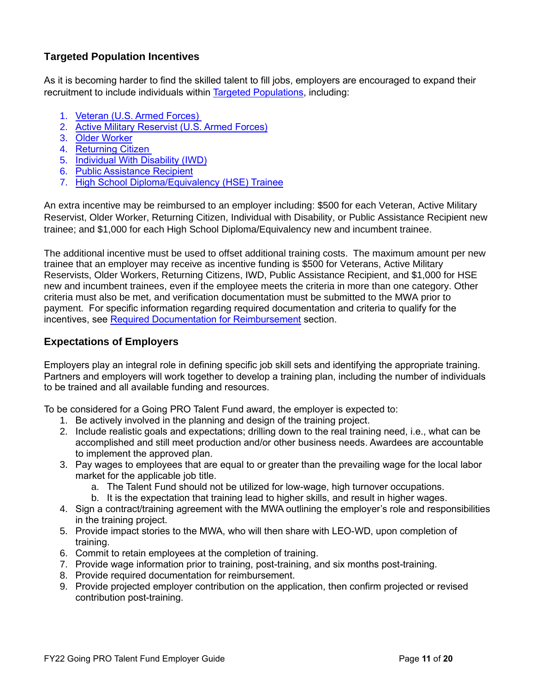# <span id="page-11-0"></span>**Targeted Population Incentives**

As it is becoming harder to find the skilled talent to fill jobs, employers are encouraged to expand their recruitment to include individuals within [Targeted Populations,](#page-20-0) including:

- 1. [Veteran \(U.S. Armed Forces\)](#page-20-0)
- 2. [Active Military Reservist \(U.S. Armed Forces\)](#page-20-0)
- 3. [Older Worker](#page-20-0)
- 4. [Returning Citizen](#page-20-0)
- 5. [Individual With Disability \(IWD\)](#page-20-0)
- 6. [Public Assistance Recipient](#page-20-0)
- 7. [High School Diploma/Equivalency \(HSE\) Trainee](#page-20-0)

An extra incentive may be reimbursed to an employer including: \$500 for each Veteran, Active Military Reservist, Older Worker, Returning Citizen, Individual with Disability, or Public Assistance Recipient new trainee; and \$1,000 for each High School Diploma/Equivalency new and incumbent trainee.

The additional incentive must be used to offset additional training costs. The maximum amount per new trainee that an employer may receive as incentive funding is \$500 for Veterans, Active Military Reservists, Older Workers, Returning Citizens, IWD, Public Assistance Recipient, and \$1,000 for HSE new and incumbent trainees, even if the employee meets the criteria in more than one category. Other criteria must also be met, and verification documentation must be submitted to the MWA prior to payment. For specific information regarding required documentation and criteria to qualify for the incentives, see [Required Documentation for Reimbursement](#page-17-1) section.

# <span id="page-11-1"></span>**Expectations of Employers**

Employers play an integral role in defining specific job skill sets and identifying the appropriate training. Partners and employers will work together to develop a training plan, including the number of individuals to be trained and all available funding and resources.

To be considered for a Going PRO Talent Fund award, the employer is expected to:

- 1. Be actively involved in the planning and design of the training project.
- 2. Include realistic goals and expectations; drilling down to the real training need, i.e., what can be accomplished and still meet production and/or other business needs. Awardees are accountable to implement the approved plan.
- 3. Pay wages to employees that are equal to or greater than the prevailing wage for the local labor market for the applicable job title.
	- a. The Talent Fund should not be utilized for low-wage, high turnover occupations.
	- b. It is the expectation that training lead to higher skills, and result in higher wages.
- 4. Sign a contract/training agreement with the MWA outlining the employer's role and responsibilities in the training project.
- 5. Provide impact stories to the MWA, who will then share with LEO-WD, upon completion of training.
- 6. Commit to retain employees at the completion of training.
- 7. Provide wage information prior to training, post-training, and six months post-training.
- 8. Provide required documentation for reimbursement.
- 9. Provide projected employer contribution on the application, then confirm projected or revised contribution post-training.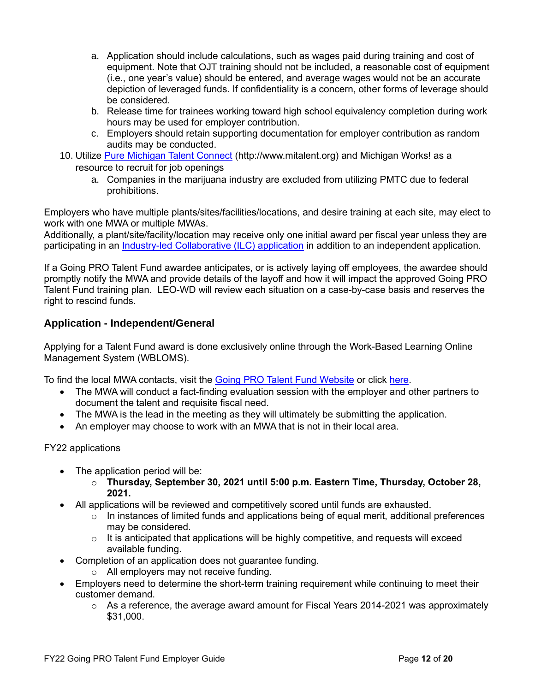- a. Application should include calculations, such as wages paid during training and cost of equipment. Note that OJT training should not be included, a reasonable cost of equipment (i.e., one year's value) should be entered, and average wages would not be an accurate depiction of leveraged funds. If confidentiality is a concern, other forms of leverage should be considered.
- b. Release time for trainees working toward high school equivalency completion during work hours may be used for employer contribution.
- c. Employers should retain supporting documentation for employer contribution as random audits may be conducted.
- 10. Utilize [Pure Michigan Talent Connect](http://www.mitalent.org/) (http://www.mitalent.org) and Michigan Works! as a resource to recruit for job openings
	- a. Companies in the marijuana industry are excluded from utilizing PMTC due to federal prohibitions.

Employers who have multiple plants/sites/facilities/locations, and desire training at each site, may elect to work with one MWA or multiple MWAs.

Additionally, a plant/site/facility/location may receive only one initial award per fiscal year unless they are participating in an [Industry-led Collaborative \(ILC\) application](#page-13-0) in addition to an independent application.

If a Going PRO Talent Fund awardee anticipates, or is actively laying off employees, the awardee should promptly notify the MWA and provide details of the layoff and how it will impact the approved Going PRO Talent Fund training plan. LEO-WD will review each situation on a case-by-case basis and reserves the right to rescind funds.

### <span id="page-12-0"></span>**Application - Independent/General**

Applying for a Talent Fund award is done exclusively online through the Work-Based Learning Online Management System (WBLOMS).

To find the local MWA contacts, visit the [Going PRO Talent Fund Website](https://www.michigan.gov/leo/0,5863,7-336-94422_95539_64365_64538-312972--,00.html) or click [here.](https://www.michigan.gov/documents/wda/Map_with_Key_Contacts_434690_7.pdf)

- The MWA will conduct a fact-finding evaluation session with the employer and other partners to document the talent and requisite fiscal need.
- The MWA is the lead in the meeting as they will ultimately be submitting the application.
- An employer may choose to work with an MWA that is not in their local area.

FY22 applications

- The application period will be:
	- o **Thursday, September 30, 2021 until 5:00 p.m. Eastern Time, Thursday, October 28, 2021.**
- All applications will be reviewed and competitively scored until funds are exhausted.
	- $\circ$  In instances of limited funds and applications being of equal merit, additional preferences may be considered.
	- $\circ$  It is anticipated that applications will be highly competitive, and requests will exceed available funding.
- Completion of an application does not guarantee funding.
	- o All employers may not receive funding.
- Employers need to determine the short-term training requirement while continuing to meet their customer demand.
	- o As a reference, the average award amount for Fiscal Years 2014-2021 was approximately \$31,000.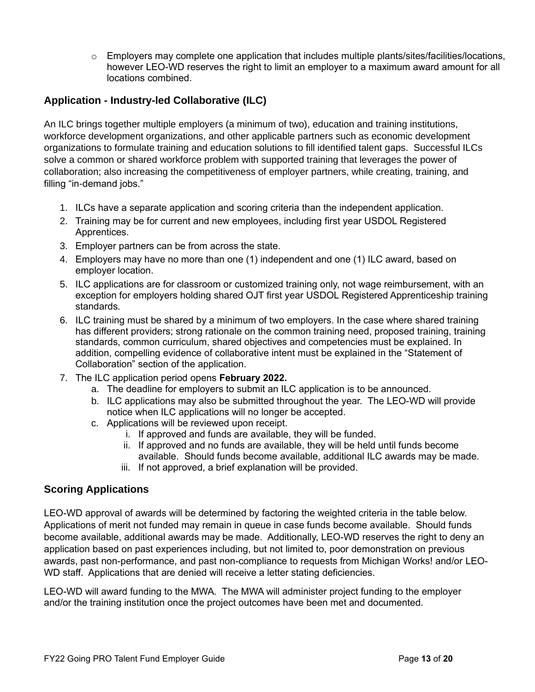$\circ$  Employers may complete one application that includes multiple plants/sites/facilities/locations, however LEO-WD reserves the right to limit an employer to a maximum award amount for all locations combined.

# <span id="page-13-0"></span>**Application - Industry-led Collaborative (ILC)**

An ILC brings together multiple employers (a minimum of two), education and training institutions, workforce development organizations, and other applicable partners such as economic development organizations to formulate training and education solutions to fill identified talent gaps. Successful ILCs solve a common or shared workforce problem with supported training that leverages the power of collaboration; also increasing the competitiveness of employer partners, while creating, training, and filling "in-demand jobs."

- 1. ILCs have a separate application and scoring criteria than the independent application.
- 2. Training may be for current and new employees, including first year USDOL Registered Apprentices.
- 3. Employer partners can be from across the state.
- 4. Employers may have no more than one (1) independent and one (1) ILC award, based on employer location.
- 5. ILC applications are for classroom or customized training only, not wage reimbursement, with an exception for employers holding shared OJT first year USDOL Registered Apprenticeship training standards.
- 6. ILC training must be shared by a minimum of two employers. In the case where shared training has different providers; strong rationale on the common training need, proposed training, training standards, common curriculum, shared objectives and competencies must be explained. In addition, compelling evidence of collaborative intent must be explained in the "Statement of Collaboration" section of the application.
- 7. The ILC application period opens **February 2022.**
	- a. The deadline for employers to submit an ILC application is to be announced.
	- b. ILC applications may also be submitted throughout the year. The LEO-WD will provide notice when ILC applications will no longer be accepted.
	- c. Applications will be reviewed upon receipt.
		- i. If approved and funds are available, they will be funded.
		- ii. If approved and no funds are available, they will be held until funds become available. Should funds become available, additional ILC awards may be made.
		- iii. If not approved, a brief explanation will be provided.

# <span id="page-13-1"></span>**Scoring Applications**

LEO-WD approval of awards will be determined by factoring the weighted criteria in the table below. Applications of merit not funded may remain in queue in case funds become available. Should funds become available, additional awards may be made. Additionally, LEO-WD reserves the right to deny an application based on past experiences including, but not limited to, poor demonstration on previous awards, past non-performance, and past non-compliance to requests from Michigan Works! and/or LEO-WD staff. Applications that are denied will receive a letter stating deficiencies.

LEO-WD will award funding to the MWA. The MWA will administer project funding to the employer and/or the training institution once the project outcomes have been met and documented.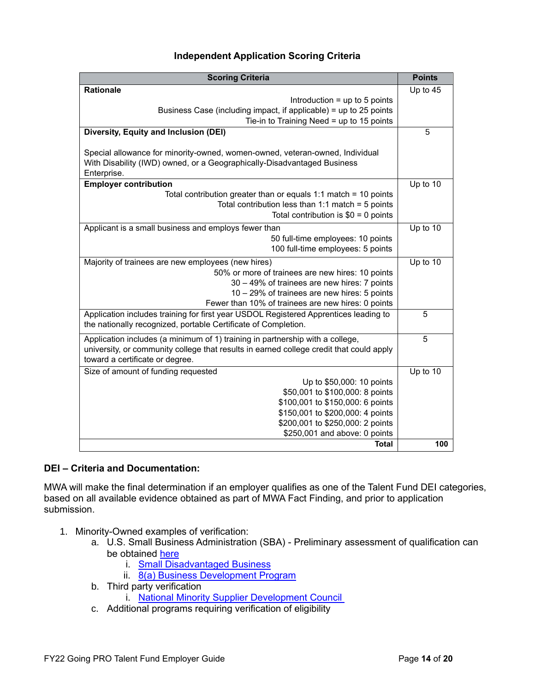### **Independent Application Scoring Criteria**

| <b>Scoring Criteria</b>                                                                 | <b>Points</b> |
|-----------------------------------------------------------------------------------------|---------------|
| <b>Rationale</b>                                                                        | Up to 45      |
| Introduction $=$ up to 5 points                                                         |               |
| Business Case (including impact, if applicable) = up to 25 points                       |               |
| Tie-in to Training Need = up to 15 points                                               |               |
| Diversity, Equity and Inclusion (DEI)                                                   | 5             |
| Special allowance for minority-owned, women-owned, veteran-owned, Individual            |               |
| With Disability (IWD) owned, or a Geographically-Disadvantaged Business                 |               |
| Enterprise.                                                                             |               |
| <b>Employer contribution</b>                                                            | Up to 10      |
| Total contribution greater than or equals 1:1 match = 10 points                         |               |
| Total contribution less than 1:1 match = $5$ points                                     |               |
| Total contribution is $$0 = 0$ points                                                   |               |
| Applicant is a small business and employs fewer than                                    | Up to 10      |
| 50 full-time employees: 10 points                                                       |               |
| 100 full-time employees: 5 points                                                       |               |
| Majority of trainees are new employees (new hires)                                      | Up to 10      |
| 50% or more of trainees are new hires: 10 points                                        |               |
| 30 - 49% of trainees are new hires: 7 points                                            |               |
| 10 - 29% of trainees are new hires: 5 points                                            |               |
| Fewer than 10% of trainees are new hires: 0 points                                      |               |
| Application includes training for first year USDOL Registered Apprentices leading to    | 5             |
| the nationally recognized, portable Certificate of Completion.                          |               |
| Application includes (a minimum of 1) training in partnership with a college,           | 5             |
| university, or community college that results in earned college credit that could apply |               |
| toward a certificate or degree.                                                         |               |
| Size of amount of funding requested                                                     | Up to 10      |
| Up to \$50,000: 10 points                                                               |               |
| \$50,001 to \$100,000: 8 points                                                         |               |
| \$100,001 to \$150,000: 6 points                                                        |               |
| \$150,001 to \$200,000: 4 points<br>\$200,001 to \$250,000: 2 points                    |               |
| \$250,001 and above: 0 points                                                           |               |
| <b>Total</b>                                                                            | 100           |
|                                                                                         |               |

#### <span id="page-14-0"></span>**DEI – Criteria and Documentation:**

MWA will make the final determination if an employer qualifies as one of the Talent Fund DEI categories, based on all available evidence obtained as part of MWA Fact Finding, and prior to application submission.

- 1. Minority-Owned examples of verification:
	- a. U.S. Small Business Administration (SBA) Preliminary assessment of qualification can be obtained [here](https://certify.sba.gov/am-i-eligible)
		- i. [Small Disadvantaged Business](https://www.sba.gov/federal-contracting/contracting-assistance-programs/small-disadvantaged-business)
		- ii. [8\(a\) Business Development Program](https://www.sba.gov/federal-contracting/contracting-assistance-programs/8a-business-development-program)
	- b. Third party verification
		- i. [National Minority Supplier Development Council](https://nmsdc.org/mbes/mbe-certification/)
	- c. Additional programs requiring verification of eligibility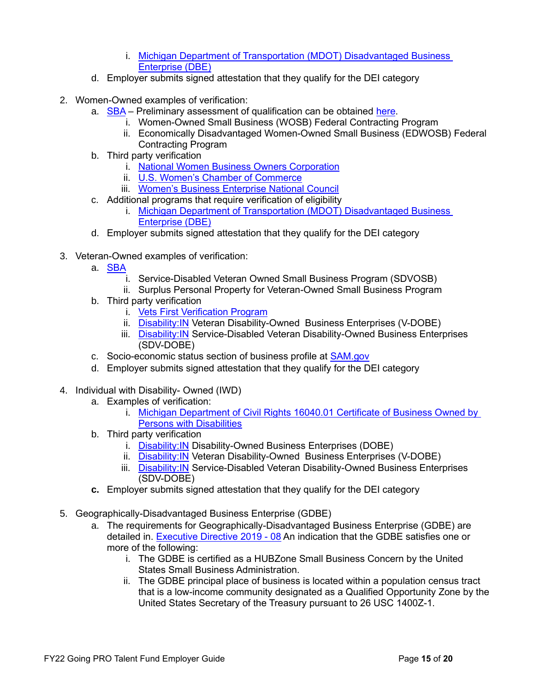- i. [Michigan Department of Transportation \(MDOT\) Disadvantaged Business](https://www.michigan.gov/mdot/0,4616,7-151-9625_21539_23108---,00.html)  [Enterprise \(DBE\)](https://www.michigan.gov/mdot/0,4616,7-151-9625_21539_23108---,00.html)
- d. Employer submits signed attestation that they qualify for the DEI category
- 2. Women-Owned examples of verification:
	- a. [SBA](https://www.sba.gov/federal-contracting/contracting-assistance-programs/women-owned-small-business-federal-contracting-program) Preliminary assessment of qualification can be obtained [here.](https://beta.certify.sba.gov/am-i-eligible/)
		- i. Women-Owned Small Business (WOSB) Federal Contracting Program
		- ii. Economically Disadvantaged Women-Owned Small Business (EDWOSB) Federal Contracting Program
	- b. Third party verification
		- i. [National Women Business Owners Corporation](http://www.nwboc.org/)
		- ii. [U.S. Women's Chamber of Commerce](https://www.uswcc.org/certification/)
		- iii. [Women's Business Enterprise National Council](https://www.wbenc.org/)
	- c. Additional programs that require verification of eligibility
		- i. [Michigan Department of Transportation \(MDOT\) Disadvantaged Business](https://www.michigan.gov/mdot/0,4616,7-151-9625_21539_23108---,00.html)  [Enterprise \(DBE\)](https://www.michigan.gov/mdot/0,4616,7-151-9625_21539_23108---,00.html)
	- d. Employer submits signed attestation that they qualify for the DEI category
- 3. Veteran-Owned examples of verification:
	- a. <u>[SBA](https://www.sba.gov/business-guide/grow-your-business/veteran-owned-businesses)</u>
		- i. Service-Disabled Veteran Owned Small Business Program (SDVOSB)
		- ii. Surplus Personal Property for Veteran-Owned Small Business Program
	- b. Third party verification
		- i. [Vets First Verification Program](https://www.va.gov/osdbu/verification/)
		- ii. Disability: IN Veteran Disability-Owned Business Enterprises (V-DOBE)
		- iii. Disability: IN Service-Disabled Veteran Disability-Owned Business Enterprises (SDV-DOBE)
	- c. Socio-economic status section of business profile at [SAM.gov](https://sam.gov/content/home)
	- d. Employer submits signed attestation that they qualify for the DEI category
- 4. Individual with Disability- Owned (IWD)
	- a. Examples of verification:
		- i. [Michigan Department of Civil Rights 16040.01 Certificate of Business Owned by](https://www.michigan.gov/documents/dmb/1640.01_184900_7.pdf)  [Persons with Disabilities](https://www.michigan.gov/documents/dmb/1640.01_184900_7.pdf)
	- b. Third party verification
		- i. Disability: IN Disability-Owned Business Enterprises (DOBE)
		- ii. Disability: IN Veteran Disability-Owned Business Enterprises (V-DOBE)
		- iii. Disability: IN Service-Disabled Veteran Disability-Owned Business Enterprises (SDV-DOBE)
	- **c.** Employer submits signed attestation that they qualify for the DEI category
- 5. Geographically-Disadvantaged Business Enterprise (GDBE)
	- a. The requirements for Geographically-Disadvantaged Business Enterprise (GDBE) are detailed in. [Executive Directive 2019 -](https://www.michigan.gov/whitmer/0,9309,7-387-90499_90704-486613--,00.html) 08 An indication that the GDBE satisfies one or more of the following:
		- i. The GDBE is certified as a HUBZone Small Business Concern by the United States Small Business Administration.
		- ii. The GDBE principal place of business is located within a population census tract that is a low-income community designated as a Qualified Opportunity Zone by the United States Secretary of the Treasury pursuant to 26 USC 1400Z-1.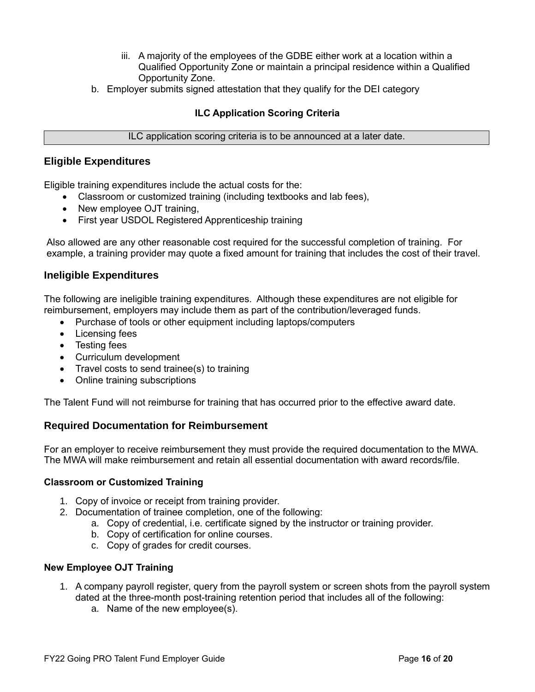- iii. A majority of the employees of the GDBE either work at a location within a Qualified Opportunity Zone or maintain a principal residence within a Qualified Opportunity Zone.
- b. Employer submits signed attestation that they qualify for the DEI category

### **ILC Application Scoring Criteria**

#### ILC application scoring criteria is to be announced at a later date.

#### <span id="page-16-0"></span>**Eligible Expenditures**

Eligible training expenditures include the actual costs for the:

- Classroom or customized training (including textbooks and lab fees),
- New employee OJT training,
- First year USDOL Registered Apprenticeship training

Also allowed are any other reasonable cost required for the successful completion of training. For example, a training provider may quote a fixed amount for training that includes the cost of their travel.

### <span id="page-16-1"></span>**Ineligible Expenditures**

The following are ineligible training expenditures. Although these expenditures are not eligible for reimbursement, employers may include them as part of the contribution/leveraged funds.

- Purchase of tools or other equipment including laptops/computers
- Licensing fees
- Testing fees
- Curriculum development
- Travel costs to send trainee(s) to training
- Online training subscriptions

The Talent Fund will not reimburse for training that has occurred prior to the effective award date.

### <span id="page-16-2"></span>**Required Documentation for Reimbursement**

For an employer to receive reimbursement they must provide the required documentation to the MWA. The MWA will make reimbursement and retain all essential documentation with award records/file.

#### <span id="page-16-3"></span>**Classroom or Customized Training**

- 1. Copy of invoice or receipt from training provider.
- 2. Documentation of trainee completion, one of the following:
	- a. Copy of credential, i.e. certificate signed by the instructor or training provider.
	- b. Copy of certification for online courses.
	- c. Copy of grades for credit courses.

#### <span id="page-16-4"></span>**New Employee OJT Training**

- 1. A company payroll register, query from the payroll system or screen shots from the payroll system dated at the three-month post-training retention period that includes all of the following:
	- a. Name of the new employee(s).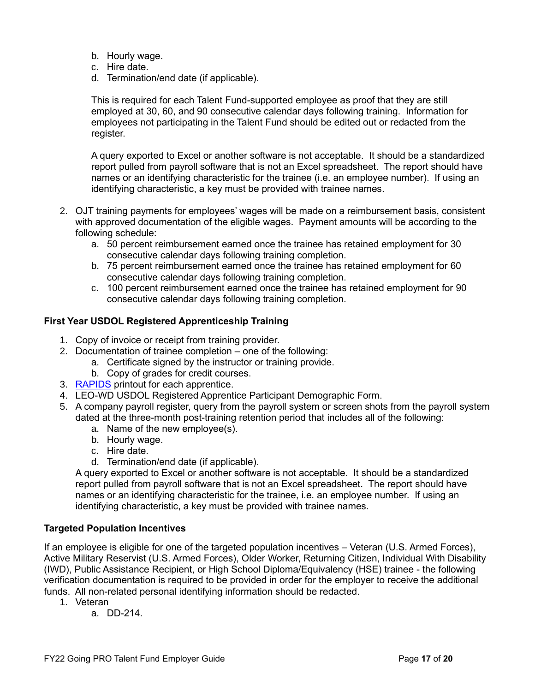- b. Hourly wage.
- c. Hire date.
- d. Termination/end date (if applicable).

This is required for each Talent Fund-supported employee as proof that they are still employed at 30, 60, and 90 consecutive calendar days following training. Information for employees not participating in the Talent Fund should be edited out or redacted from the register.

A query exported to Excel or another software is not acceptable. It should be a standardized report pulled from payroll software that is not an Excel spreadsheet. The report should have names or an identifying characteristic for the trainee (i.e. an employee number). If using an identifying characteristic, a key must be provided with trainee names.

- 2. OJT training payments for employees' wages will be made on a reimbursement basis, consistent with approved documentation of the eligible wages. Payment amounts will be according to the following schedule:
	- a. 50 percent reimbursement earned once the trainee has retained employment for 30 consecutive calendar days following training completion.
	- b. 75 percent reimbursement earned once the trainee has retained employment for 60 consecutive calendar days following training completion.
	- c. 100 percent reimbursement earned once the trainee has retained employment for 90 consecutive calendar days following training completion.

#### <span id="page-17-0"></span>**First Year USDOL Registered Apprenticeship Training**

- 1. Copy of invoice or receipt from training provider.
- 2. Documentation of trainee completion one of the following:
	- a. Certificate signed by the instructor or training provide.
	- b. Copy of grades for credit courses.
- 3. [RAPIDS](#page-20-4) printout for each apprentice.
- 4. LEO-WD USDOL Registered Apprentice Participant Demographic Form.
- 5. A company payroll register, query from the payroll system or screen shots from the payroll system dated at the three-month post-training retention period that includes all of the following:
	- a. Name of the new employee(s).
	- b. Hourly wage.
	- c. Hire date.
	- d. Termination/end date (if applicable).

A query exported to Excel or another software is not acceptable. It should be a standardized report pulled from payroll software that is not an Excel spreadsheet. The report should have names or an identifying characteristic for the trainee, i.e. an employee number. If using an identifying characteristic, a key must be provided with trainee names.

#### <span id="page-17-1"></span>**Targeted Population Incentives**

If an employee is eligible for one of the targeted population incentives – Veteran (U.S. Armed Forces), Active Military Reservist (U.S. Armed Forces), Older Worker, Returning Citizen, Individual With Disability (IWD), Public Assistance Recipient, or High School Diploma/Equivalency (HSE) trainee - the following verification documentation is required to be provided in order for the employer to receive the additional funds. All non-related personal identifying information should be redacted.

- 1. Veteran
	- a. DD-214.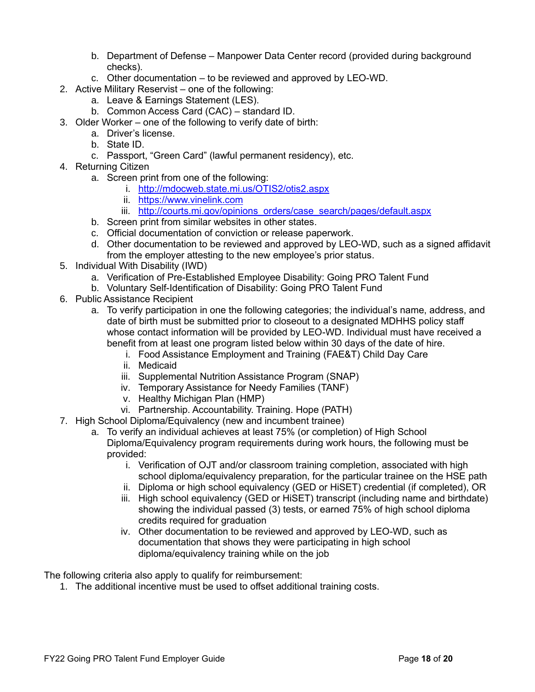- b. Department of Defense Manpower Data Center record (provided during background checks).
- c. Other documentation to be reviewed and approved by LEO-WD.
- 2. Active Military Reservist one of the following:
	- a. Leave & Earnings Statement (LES).
	- b. Common Access Card (CAC) standard ID.
- 3. Older Worker one of the following to verify date of birth:
	- a. Driver's license.
	- b. State ID.
	- c. Passport, "Green Card" (lawful permanent residency), etc.
- 4. Returning Citizen
	- a. Screen print from one of the following:
		- i. <http://mdocweb.state.mi.us/OTIS2/otis2.aspx>
		- ii. [https://www.vinelink.com](https://www.vinelink.com/)
		- iii. http://courts.mi.gov/opinions orders/case search/pages/default.aspx
	- b. Screen print from similar websites in other states.
	- c. Official documentation of conviction or release paperwork.
	- d. Other documentation to be reviewed and approved by LEO-WD, such as a signed affidavit from the employer attesting to the new employee's prior status.
- 5. Individual With Disability (IWD)
	- a. Verification of Pre-Established Employee Disability: Going PRO Talent Fund
	- b. Voluntary Self-Identification of Disability: Going PRO Talent Fund
- 6. Public Assistance Recipient
	- a. To verify participation in one the following categories; the individual's name, address, and date of birth must be submitted prior to closeout to a designated MDHHS policy staff whose contact information will be provided by LEO-WD. Individual must have received a benefit from at least one program listed below within 30 days of the date of hire.
		- i. Food Assistance Employment and Training (FAE&T) Child Day Care
		- ii. Medicaid
		- iii. Supplemental Nutrition Assistance Program (SNAP)
		- iv. Temporary Assistance for Needy Families (TANF)
		- v. Healthy Michigan Plan (HMP)
		- vi. Partnership. Accountability. Training. Hope (PATH)
- 7. High School Diploma/Equivalency (new and incumbent trainee)
	- a. To verify an individual achieves at least 75% (or completion) of High School Diploma/Equivalency program requirements during work hours, the following must be provided:
		- i. Verification of OJT and/or classroom training completion, associated with high school diploma/equivalency preparation, for the particular trainee on the HSE path
		- ii. Diploma or high school equivalency (GED or HiSET) credential (if completed), OR
		- iii. High school equivalency (GED or HiSET) transcript (including name and birthdate) showing the individual passed (3) tests, or earned 75% of high school diploma credits required for graduation
		- iv. Other documentation to be reviewed and approved by LEO-WD, such as documentation that shows they were participating in high school diploma/equivalency training while on the job

The following criteria also apply to qualify for reimbursement:

1. The additional incentive must be used to offset additional training costs.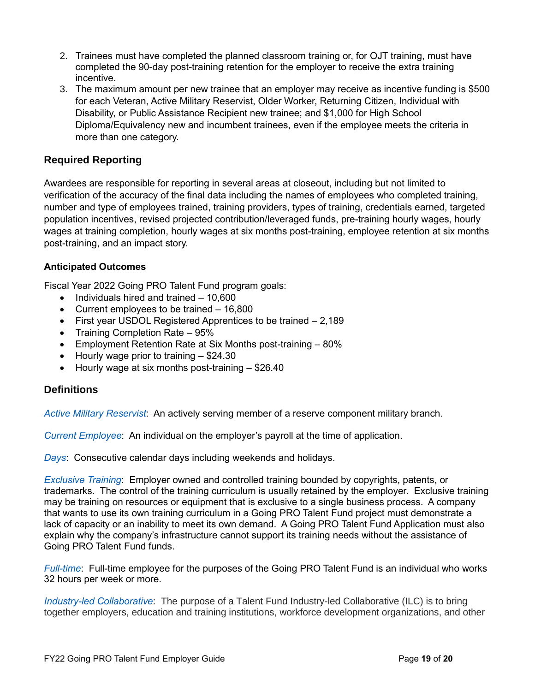- 2. Trainees must have completed the planned classroom training or, for OJT training, must have completed the 90-day post-training retention for the employer to receive the extra training incentive.
- 3. The maximum amount per new trainee that an employer may receive as incentive funding is \$500 for each Veteran, Active Military Reservist, Older Worker, Returning Citizen, Individual with Disability, or Public Assistance Recipient new trainee; and \$1,000 for High School Diploma/Equivalency new and incumbent trainees, even if the employee meets the criteria in more than one category.

### <span id="page-19-0"></span>**Required Reporting**

Awardees are responsible for reporting in several areas at closeout, including but not limited to verification of the accuracy of the final data including the names of employees who completed training, number and type of employees trained, training providers, types of training, credentials earned, targeted population incentives, revised projected contribution/leveraged funds, pre-training hourly wages, hourly wages at training completion, hourly wages at six months post-training, employee retention at six months post-training, and an impact story.

### <span id="page-19-2"></span>**Anticipated Outcomes**

Fiscal Year 2022 Going PRO Talent Fund program goals:

- Individuals hired and trained 10,600
- Current employees to be trained 16,800
- First year USDOL Registered Apprentices to be trained 2,189
- Training Completion Rate 95%
- Employment Retention Rate at Six Months post-training 80%
- Hourly wage prior to training \$24.30
- Hourly wage at six months post-training \$26.40

### <span id="page-19-1"></span>**Definitions**

*Active Military Reservist*: An actively serving member of a reserve component military branch.

<span id="page-19-3"></span>*Current Employee*: An individual on the employer's payroll at the time of application.

*Days*: Consecutive calendar days including weekends and holidays.

<span id="page-19-4"></span>*Exclusive Training*: Employer owned and controlled training bounded by copyrights, patents, or trademarks. The control of the training curriculum is usually retained by the employer. Exclusive training may be training on resources or equipment that is exclusive to a single business process. A company that wants to use its own training curriculum in a Going PRO Talent Fund project must demonstrate a lack of capacity or an inability to meet its own demand. A Going PRO Talent Fund Application must also explain why the company's infrastructure cannot support its training needs without the assistance of Going PRO Talent Fund funds.

*Full-time*: Full-time employee for the purposes of the Going PRO Talent Fund is an individual who works 32 hours per week or more.

*Industry-led Collaborative*: The purpose of a Talent Fund Industry-led Collaborative (ILC) is to bring together employers, education and training institutions, workforce development organizations, and other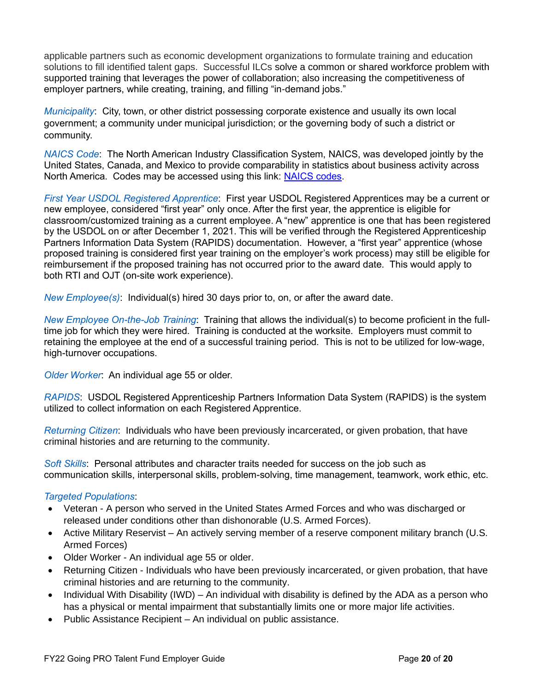applicable partners such as economic development organizations to formulate training and education solutions to fill identified talent gaps. Successful ILCs solve a common or shared workforce problem with supported training that leverages the power of collaboration; also increasing the competitiveness of employer partners, while creating, training, and filling "in-demand jobs."

*Municipality*: City, town, or other district possessing corporate existence and usually its own local government; a community under municipal jurisdiction; or the governing body of such a district or community.

*NAICS Code*: The North American Industry Classification System, NAICS, was developed jointly by the United States, Canada, and Mexico to provide comparability in statistics about business activity across North America. Codes may be accessed using this link: [NAICS codes.](http://www.census.gov/eos/www/naics/)

<span id="page-20-2"></span>*First Year USDOL Registered Apprentice*: First year USDOL Registered Apprentices may be a current or new employee, considered "first year" only once. After the first year, the apprentice is eligible for classroom/customized training as a current employee. A "new" apprentice is one that has been registered by the USDOL on or after December 1, 2021. This will be verified through the Registered Apprenticeship Partners Information Data System (RAPIDS) documentation. However, a "first year" apprentice (whose proposed training is considered first year training on the employer's work process) may still be eligible for reimbursement if the proposed training has not occurred prior to the award date. This would apply to both RTI and OJT (on-site work experience).

<span id="page-20-1"></span>*New Employee(s)*: Individual(s) hired 30 days prior to, on, or after the award date.

*New Employee On-the-Job Training*: Training that allows the individual(s) to become proficient in the fulltime job for which they were hired. Training is conducted at the worksite. Employers must commit to retaining the employee at the end of a successful training period. This is not to be utilized for low-wage, high-turnover occupations.

*Older Worker*: An individual age 55 or older.

<span id="page-20-4"></span>*RAPIDS*: USDOL Registered Apprenticeship Partners Information Data System (RAPIDS) is the system utilized to collect information on each Registered Apprentice.

*Returning Citizen*: Individuals who have been previously incarcerated, or given probation, that have criminal histories and are returning to the community.

<span id="page-20-3"></span>*Soft Skills*: Personal attributes and character traits needed for success on the job such as communication skills, interpersonal skills, problem-solving, time management, teamwork, work ethic, etc.

#### <span id="page-20-0"></span>*Targeted Populations*:

- Veteran A person who served in the United States Armed Forces and who was discharged or released under conditions other than dishonorable (U.S. Armed Forces).
- Active Military Reservist An actively serving member of a reserve component military branch (U.S. Armed Forces)
- Older Worker An individual age 55 or older.
- Returning Citizen Individuals who have been previously incarcerated, or given probation, that have criminal histories and are returning to the community.
- Individual With Disability (IWD) An individual with disability is defined by the ADA as a person who has a physical or mental impairment that substantially limits one or more major life activities.
- Public Assistance Recipient An individual on public assistance.